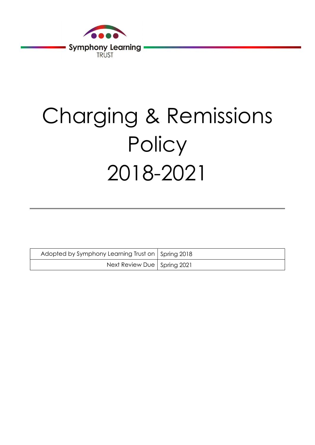

# Charging & Remissions **Policy** 2018-2021

| Adopted by Symphony Learning Trust on   Spring 2018 |  |
|-----------------------------------------------------|--|
| Next Review Due   Spring 2021                       |  |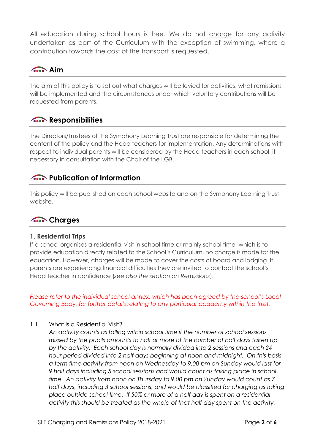All education during school hours is free. We do not charge for any activity undertaken as part of the Curriculum with the exception of swimming, where a contribution towards the cost of the transport is requested.

# Aim

The aim of this policy is to set out what charges will be levied for activities, what remissions will be implemented and the circumstances under which voluntary contributions will be requested from parents.

# **A.** Responsibilities

The Directors/Trustees of the Symphony Learning Trust are responsible for determining the content of the policy and the Head teachers for implementation. Any determinations with respect to individual parents will be considered by the Head teachers in each school, if necessary in consultation with the Chair of the LGB.

## **The Publication of Information**

This policy will be published on each school website and on the Symphony Learning Trust website.

# **A.** Charges

#### 1. Residential Trips

If a school organises a residential visit in school time or mainly school time, which is to provide education directly related to the School's Curriculum, no charge is made for the education. However, charges will be made to cover the costs of board and lodging. If parents are experiencing financial difficulties they are invited to contact the school's Head teacher in confidence (see also the section on Remissions).

Please refer to the individual school annex, which has been agreed by the school's Local Governing Body, for further details relating to any particular academy within the trust.

1.1. What is a Residential Visit?

An activity counts as falling within school time if the number of school sessions missed by the pupils amounts to half or more of the number of half days taken up by the activity. Each school day is normally divided into 2 sessions and each 24 hour period divided into 2 half days beginning at noon and midnight. On this basis a term time activity from noon on Wednesday to 9.00 pm on Sunday would last for 9 half days including 5 school sessions and would count as taking place in school time. An activity from noon on Thursday to 9.00 pm on Sunday would count as 7 half days, including 3 school sessions, and would be classified for charging as taking place outside school time. If 50% or more of a half day is spent on a residential activity this should be treated as the whole of that half day spent on the activity.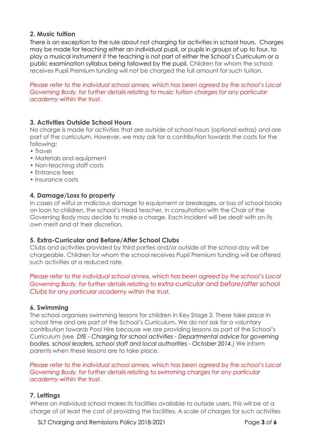## 2. Music tuition

There is an exception to the rule about not charging for activities in school hours. Charges may be made for teaching either an individual pupil, or pupils in groups of up to four, to play a musical instrument if the teaching is not part of either the School's Curriculum or a public examination syllabus being followed by the pupil. Children for whom the school receives Pupil Premium funding will not be charged the full amount for such tuition.

Please refer to the individual school annex, which has been agreed by the school's Local Governing Body, for further details relating to music tuition charges for any particular academy within the trust.

## 3. Activities Outside School Hours

No charge is made for activities that are outside of school hours (optional extras) and are part of the curriculum. However, we may ask for a contribution towards the costs for the following:

- Travel
- Materials and equipment
- Non-teaching staff costs
- Entrance fees
- Insurance costs

## 4. Damage/Loss to property

In cases of wilful or malicious damage to equipment or breakages, or loss of school books on loan to children, the school's Head teacher, in consultation with the Chair of the Governing Body may decide to make a charge. Each incident will be dealt with on its own merit and at their discretion.

## 5. Extra-Curricular and Before/After School Clubs

Clubs and activities provided by third parties and/or outside of the school day will be chargeable. Children for whom the school receives Pupil Premium funding will be offered such activities at a reduced rate.

Please refer to the individual school annex, which has been agreed by the school's Local Governing Body, for further details relating to extra-curricular and before/after school Clubs for any particular academy within the trust.

## 6. Swimming

The school organises swimming lessons for children in Key Stage 2. These take place in school time and are part of the School's Curriculum. We do not ask for a voluntary contribution towards Pool Hire because we are providing lessons as part of the School's Curriculum (see DfE - Charging for school activities - Departmental advice for governing bodies, school leaders, school staff and local authorities - October 2014.) We inform parents when these lessons are to take place.

Please refer to the individual school annex, which has been agreed by the school's Local Governing Body, for further details relating to swimming charges for any particular academy within the trust.

## 7. Lettings

Where an individual school makes its facilities available to outside users, this will be at a charge of at least the cost of providing the facilities. A scale of charges for such activities

SLT Charging and Remissions Policy 2018-2021 **Page 3 of 6**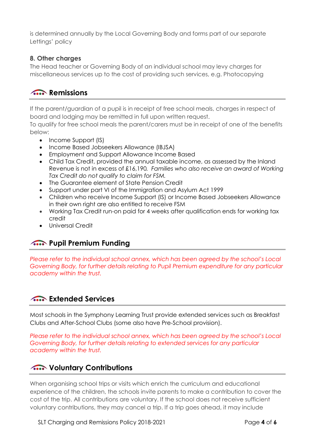is determined annually by the Local Governing Body and forms part of our separate Lettings' policy

## 8. Other charges

The Head teacher or Governing Body of an individual school may levy charges for miscellaneous services up to the cost of providing such services, e.g. Photocopying

# **A.** Remissions

If the parent/guardian of a pupil is in receipt of free school meals, charges in respect of board and lodging may be remitted in full upon written request.

To qualify for free school meals the parent/carers must be in receipt of one of the benefits below:

- Income Support (IS)
- Income Based Jobseekers Allowance (IBJSA)
- Employment and Support Allowance Income Based
- Child Tax Credit, provided the annual taxable income, as assessed by the Inland Revenue is not in excess of £16,190. Families who also receive an award of Working Tax Credit do not qualify to claim for FSM.
- The Guarantee element of State Pension Credit
- Support under part VI of the Immigration and Asylum Act 1999
- Children who receive Income Support (IS) or Income Based Jobseekers Allowance in their own right are also entitled to receive FSM
- Working Tax Credit run-on paid for 4 weeks after qualification ends for working tax credit
- Universal Credit

# **A.** Pupil Premium Funding

Please refer to the individual school annex, which has been agreed by the school's Local Governing Body, for further details relating to Pupil Premium expenditure for any particular academy within the trust.

# **Extended Services**

Most schools in the Symphony Learning Trust provide extended services such as Breakfast Clubs and After-School Clubs (some also have Pre-School provision).

Please refer to the individual school annex, which has been agreed by the school's Local Governing Body, for further details relating to extended services for any particular academy within the trust.

# **A.** Voluntary Contributions

When organising school trips or visits which enrich the curriculum and educational experience of the children, the schools invite parents to make a contribution to cover the cost of the trip. All contributions are voluntary. If the school does not receive sufficient voluntary contributions, they may cancel a trip. If a trip goes ahead, it may include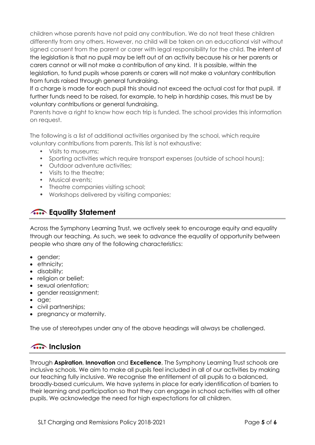children whose parents have not paid any contribution. We do not treat these children differently from any others. However, no child will be taken on an educational visit without signed consent from the parent or carer with legal responsibility for the child. The intent of the legislation is that no pupil may be left out of an activity because his or her parents or carers cannot or will not make a contribution of any kind. It is possible, within the legislation, to fund pupils whose parents or carers will not make a voluntary contribution from funds raised through general fundraising.

If a charge is made for each pupil this should not exceed the actual cost for that pupil. If further funds need to be raised, for example, to help in hardship cases, this must be by voluntary contributions or general fundraising.

Parents have a right to know how each trip is funded. The school provides this information on request.

The following is a list of additional activities organised by the school, which require voluntary contributions from parents. This list is not exhaustive:

- Visits to museums;
- Sporting activities which require transport expenses (outside of school hours);
- Outdoor adventure activities;
- Visits to the theatre;
- Musical events;
- Theatre companies visiting school;
- Workshops delivered by visiting companies;

# **A.** Equality Statement

Across the Symphony Learning Trust, we actively seek to encourage equity and equality through our teaching. As such, we seek to advance the equality of opportunity between people who share any of the following characteristics:

- gender;
- ethnicity;
- disability;
- religion or belief;
- sexual orientation;
- gender reassignment;
- age;
- civil partnerships;
- pregnancy or maternity.

The use of stereotypes under any of the above headings will always be challenged.

## **A.** Inclusion

Through Aspiration, Innovation and Excellence, The Symphony Learning Trust schools are inclusive schools. We aim to make all pupils feel included in all of our activities by making our teaching fully inclusive. We recognise the entitlement of all pupils to a balanced, broadly-based curriculum. We have systems in place for early identification of barriers to their learning and participation so that they can engage in school activities with all other pupils. We acknowledge the need for high expectations for all children.